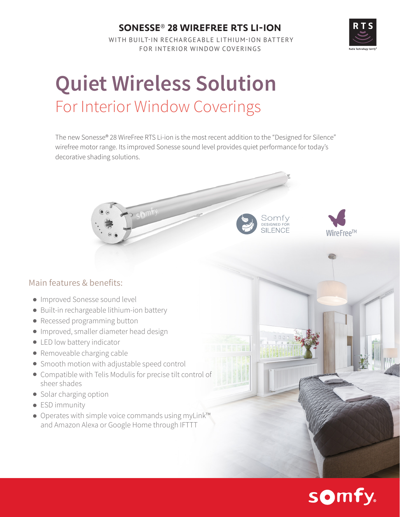## **SONESSE**® **28 WIREFREE RTS LI-ION**

 WITH BUILT-IN RECHARGEABLE LITHIUM-ION BATTERY FOR INTERIOR WINDOW COVERINGS

# **Quiet Wireless Solution**  For Interior Window Coverings

The new Sonesse® 28 WireFree RTS Li-ion is the most recent addition to the "Designed for Silence" wirefree motor range. Its improved Sonesse sound level provides quiet performance for today's decorative shading solutions.

#### Main features & benefits:

- Improved Sonesse sound level
- Built-in rechargeable lithium-ion battery
- Recessed programming button
- **Improved, smaller diameter head design**
- **.** LED low battery indicator
- Removeable charging cable
- Smooth motion with adjustable speed control
- Compatible with Telis Modulis for precise tilt control of sheer shades
- Solar charging option
- **•** ESD immunity
- Operates with simple voice commands using myLink™ and Amazon Alexa or Google Home through IFTTT







Somtv **SILENCE**